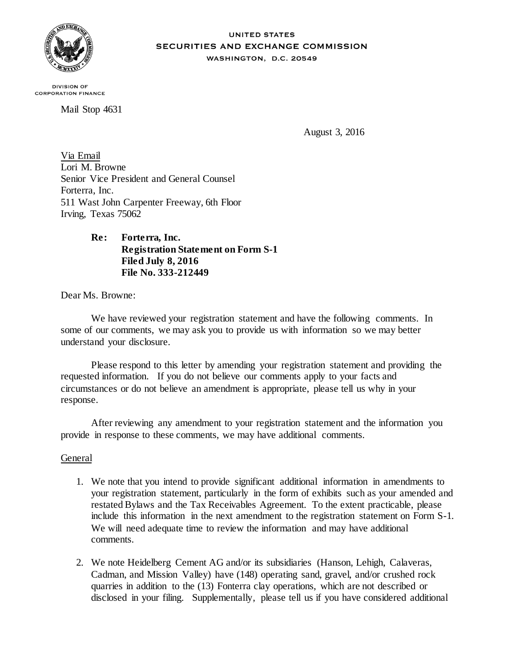

#### **UNITED STATES SECURITIES AND EXCHANGE COMMISSION** WASHINGTON, D.C. 20549

**DIVISION OF CORPORATION FINANCE** 

Mail Stop 4631

August 3, 2016

Via Email Lori M. Browne Senior Vice President and General Counsel Forterra, Inc. 511 Wast John Carpenter Freeway, 6th Floor Irving, Texas 75062

# **Re: Forterra, Inc. Registration Statement on Form S-1 Filed July 8, 2016 File No. 333-212449**

Dear Ms. Browne:

We have reviewed your registration statement and have the following comments. In some of our comments, we may ask you to provide us with information so we may better understand your disclosure.

Please respond to this letter by amending your registration statement and providing the requested information. If you do not believe our comments apply to your facts and circumstances or do not believe an amendment is appropriate, please tell us why in your response.

After reviewing any amendment to your registration statement and the information you provide in response to these comments, we may have additional comments.

# General

- 1. We note that you intend to provide significant additional information in amendments to your registration statement, particularly in the form of exhibits such as your amended and restated Bylaws and the Tax Receivables Agreement. To the extent practicable, please include this information in the next amendment to the registration statement on Form S-1. We will need adequate time to review the information and may have additional comments.
- 2. We note Heidelberg Cement AG and/or its subsidiaries (Hanson, Lehigh, Calaveras, Cadman, and Mission Valley) have (148) operating sand, gravel, and/or crushed rock quarries in addition to the (13) Fonterra clay operations, which are not described or disclosed in your filing. Supplementally, please tell us if you have considered additional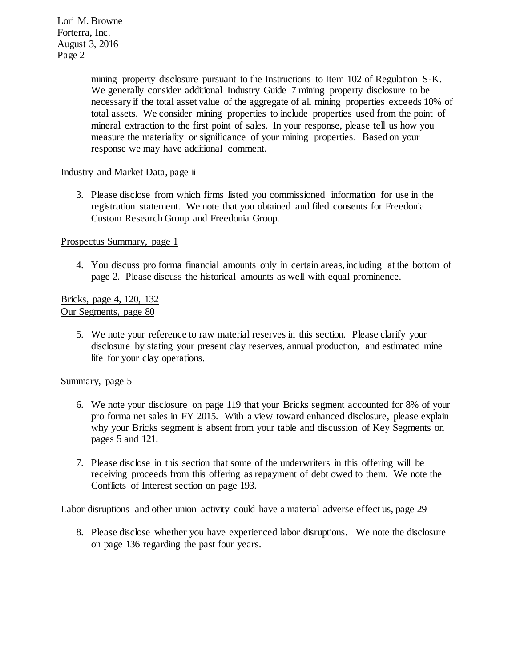> mining property disclosure pursuant to the Instructions to Item 102 of Regulation S-K. We generally consider additional Industry Guide 7 mining property disclosure to be necessary if the total asset value of the aggregate of all mining properties exceeds 10% of total assets. We consider mining properties to include properties used from the point of mineral extraction to the first point of sales. In your response, please tell us how you measure the materiality or significance of your mining properties. Based on your response we may have additional comment.

# Industry and Market Data, page ii

3. Please disclose from which firms listed you commissioned information for use in the registration statement. We note that you obtained and filed consents for Freedonia Custom Research Group and Freedonia Group.

# Prospectus Summary, page 1

4. You discuss pro forma financial amounts only in certain areas, including at the bottom of page 2. Please discuss the historical amounts as well with equal prominence.

# Bricks, page 4, 120, 132 Our Segments, page 80

5. We note your reference to raw material reserves in this section. Please clarify your disclosure by stating your present clay reserves, annual production, and estimated mine life for your clay operations.

# Summary, page 5

- 6. We note your disclosure on page 119 that your Bricks segment accounted for 8% of your pro forma net sales in FY 2015. With a view toward enhanced disclosure, please explain why your Bricks segment is absent from your table and discussion of Key Segments on pages 5 and 121.
- 7. Please disclose in this section that some of the underwriters in this offering will be receiving proceeds from this offering as repayment of debt owed to them. We note the Conflicts of Interest section on page 193.

# Labor disruptions and other union activity could have a material adverse effect us, page 29

8. Please disclose whether you have experienced labor disruptions. We note the disclosure on page 136 regarding the past four years.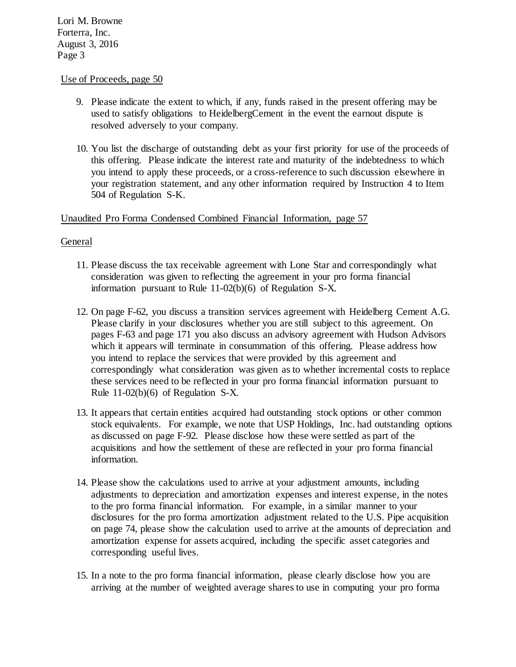### Use of Proceeds, page 50

- 9. Please indicate the extent to which, if any, funds raised in the present offering may be used to satisfy obligations to HeidelbergCement in the event the earnout dispute is resolved adversely to your company.
- 10. You list the discharge of outstanding debt as your first priority for use of the proceeds of this offering. Please indicate the interest rate and maturity of the indebtedness to which you intend to apply these proceeds, or a cross-reference to such discussion elsewhere in your registration statement, and any other information required by Instruction 4 to Item 504 of Regulation S-K.

# Unaudited Pro Forma Condensed Combined Financial Information, page 57

# General

- 11. Please discuss the tax receivable agreement with Lone Star and correspondingly what consideration was given to reflecting the agreement in your pro forma financial information pursuant to Rule 11-02(b)(6) of Regulation S-X.
- 12. On page F-62, you discuss a transition services agreement with Heidelberg Cement A.G. Please clarify in your disclosures whether you are still subject to this agreement. On pages F-63 and page 171 you also discuss an advisory agreement with Hudson Advisors which it appears will terminate in consummation of this offering. Please address how you intend to replace the services that were provided by this agreement and correspondingly what consideration was given as to whether incremental costs to replace these services need to be reflected in your pro forma financial information pursuant to Rule 11-02(b)(6) of Regulation S-X.
- 13. It appears that certain entities acquired had outstanding stock options or other common stock equivalents. For example, we note that USP Holdings, Inc. had outstanding options as discussed on page F-92. Please disclose how these were settled as part of the acquisitions and how the settlement of these are reflected in your pro forma financial information.
- 14. Please show the calculations used to arrive at your adjustment amounts, including adjustments to depreciation and amortization expenses and interest expense, in the notes to the pro forma financial information. For example, in a similar manner to your disclosures for the pro forma amortization adjustment related to the U.S. Pipe acquisition on page 74, please show the calculation used to arrive at the amounts of depreciation and amortization expense for assets acquired, including the specific asset categories and corresponding useful lives.
- 15. In a note to the pro forma financial information, please clearly disclose how you are arriving at the number of weighted average shares to use in computing your pro forma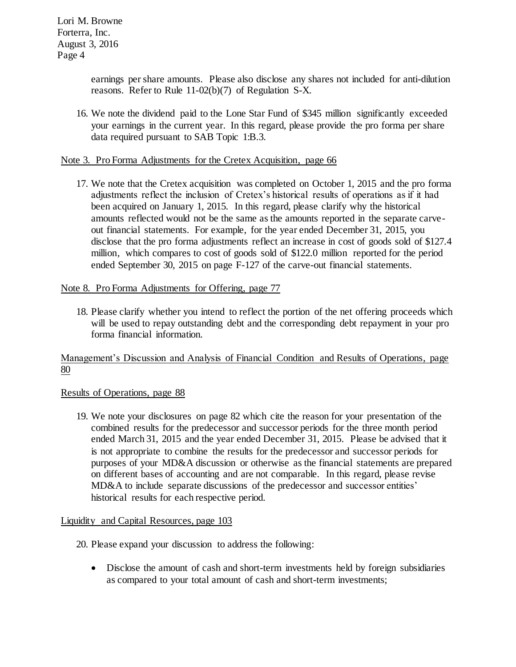> earnings per share amounts. Please also disclose any shares not included for anti-dilution reasons. Refer to Rule 11-02(b)(7) of Regulation S-X.

16. We note the dividend paid to the Lone Star Fund of \$345 million significantly exceeded your earnings in the current year. In this regard, please provide the pro forma per share data required pursuant to SAB Topic 1:B.3.

# Note 3. Pro Forma Adjustments for the Cretex Acquisition, page 66

17. We note that the Cretex acquisition was completed on October 1, 2015 and the pro forma adjustments reflect the inclusion of Cretex's historical results of operations as if it had been acquired on January 1, 2015. In this regard, please clarify why the historical amounts reflected would not be the same as the amounts reported in the separate carveout financial statements. For example, for the year ended December 31, 2015, you disclose that the pro forma adjustments reflect an increase in cost of goods sold of \$127.4 million, which compares to cost of goods sold of \$122.0 million reported for the period ended September 30, 2015 on page F-127 of the carve-out financial statements.

# Note 8. Pro Forma Adjustments for Offering, page 77

18. Please clarify whether you intend to reflect the portion of the net offering proceeds which will be used to repay outstanding debt and the corresponding debt repayment in your pro forma financial information.

# Management's Discussion and Analysis of Financial Condition and Results of Operations, page 80

# Results of Operations, page 88

19. We note your disclosures on page 82 which cite the reason for your presentation of the combined results for the predecessor and successor periods for the three month period ended March 31, 2015 and the year ended December 31, 2015. Please be advised that it is not appropriate to combine the results for the predecessor and successor periods for purposes of your MD&A discussion or otherwise as the financial statements are prepared on different bases of accounting and are not comparable. In this regard, please revise MD&A to include separate discussions of the predecessor and successor entities' historical results for each respective period.

# Liquidity and Capital Resources, page 103

- 20. Please expand your discussion to address the following:
	- Disclose the amount of cash and short-term investments held by foreign subsidiaries as compared to your total amount of cash and short-term investments;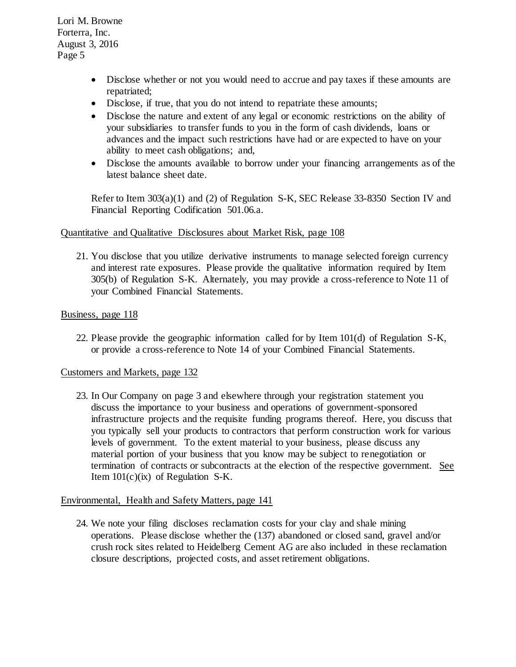- Disclose whether or not you would need to accrue and pay taxes if these amounts are repatriated;
- Disclose, if true, that you do not intend to repatriate these amounts;
- Disclose the nature and extent of any legal or economic restrictions on the ability of your subsidiaries to transfer funds to you in the form of cash dividends, loans or advances and the impact such restrictions have had or are expected to have on your ability to meet cash obligations; and,
- Disclose the amounts available to borrow under your financing arrangements as of the latest balance sheet date.

Refer to Item 303(a)(1) and (2) of Regulation S-K, SEC Release 33-8350 Section IV and Financial Reporting Codification 501.06.a.

### Quantitative and Qualitative Disclosures about Market Risk, page 108

21. You disclose that you utilize derivative instruments to manage selected foreign currency and interest rate exposures. Please provide the qualitative information required by Item 305(b) of Regulation S-K. Alternately, you may provide a cross-reference to Note 11 of your Combined Financial Statements.

### Business, page 118

22. Please provide the geographic information called for by Item 101(d) of Regulation S-K, or provide a cross-reference to Note 14 of your Combined Financial Statements.

#### Customers and Markets, page 132

23. In Our Company on page 3 and elsewhere through your registration statement you discuss the importance to your business and operations of government-sponsored infrastructure projects and the requisite funding programs thereof. Here, you discuss that you typically sell your products to contractors that perform construction work for various levels of government. To the extent material to your business, please discuss any material portion of your business that you know may be subject to renegotiation or termination of contracts or subcontracts at the election of the respective government. See Item  $101(c)(ix)$  of Regulation S-K.

#### Environmental, Health and Safety Matters, page 141

24. We note your filing discloses reclamation costs for your clay and shale mining operations. Please disclose whether the (137) abandoned or closed sand, gravel and/or crush rock sites related to Heidelberg Cement AG are also included in these reclamation closure descriptions, projected costs, and asset retirement obligations.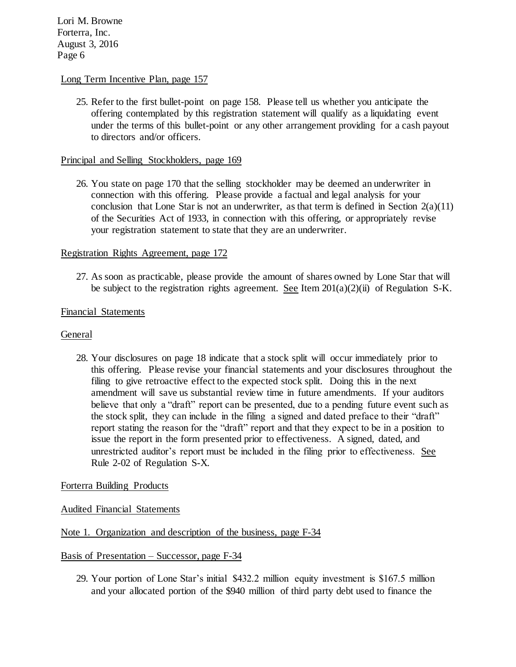### Long Term Incentive Plan, page 157

25. Refer to the first bullet-point on page 158. Please tell us whether you anticipate the offering contemplated by this registration statement will qualify as a liquidating event under the terms of this bullet-point or any other arrangement providing for a cash payout to directors and/or officers.

### Principal and Selling Stockholders, page 169

26. You state on page 170 that the selling stockholder may be deemed an underwriter in connection with this offering. Please provide a factual and legal analysis for your conclusion that Lone Star is not an underwriter, as that term is defined in Section  $2(a)(11)$ of the Securities Act of 1933, in connection with this offering, or appropriately revise your registration statement to state that they are an underwriter.

# Registration Rights Agreement, page 172

27. As soon as practicable, please provide the amount of shares owned by Lone Star that will be subject to the registration rights agreement. See Item  $201(a)(2)(ii)$  of Regulation S-K.

### Financial Statements

#### General

28. Your disclosures on page 18 indicate that a stock split will occur immediately prior to this offering. Please revise your financial statements and your disclosures throughout the filing to give retroactive effect to the expected stock split. Doing this in the next amendment will save us substantial review time in future amendments. If your auditors believe that only a "draft" report can be presented, due to a pending future event such as the stock split, they can include in the filing a signed and dated preface to their "draft" report stating the reason for the "draft" report and that they expect to be in a position to issue the report in the form presented prior to effectiveness. A signed, dated, and unrestricted auditor's report must be included in the filing prior to effectiveness. See Rule 2-02 of Regulation S-X.

# Forterra Building Products

# Audited Financial Statements

# Note 1. Organization and description of the business, page F-34

#### Basis of Presentation – Successor, page F-34

29. Your portion of Lone Star's initial \$432.2 million equity investment is \$167.5 million and your allocated portion of the \$940 million of third party debt used to finance the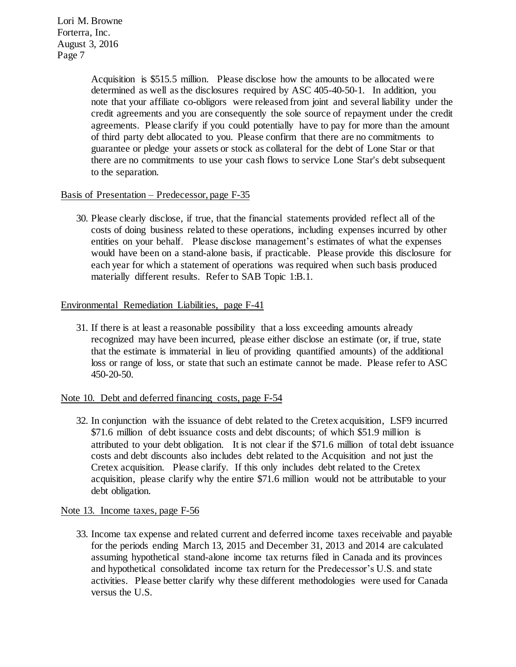> Acquisition is \$515.5 million. Please disclose how the amounts to be allocated were determined as well as the disclosures required by ASC 405-40-50-1. In addition, you note that your affiliate co-obligors were released from joint and several liability under the credit agreements and you are consequently the sole source of repayment under the credit agreements. Please clarify if you could potentially have to pay for more than the amount of third party debt allocated to you. Please confirm that there are no commitments to guarantee or pledge your assets or stock as collateral for the debt of Lone Star or that there are no commitments to use your cash flows to service Lone Star's debt subsequent to the separation.

# Basis of Presentation – Predecessor, page F-35

30. Please clearly disclose, if true, that the financial statements provided reflect all of the costs of doing business related to these operations, including expenses incurred by other entities on your behalf. Please disclose management's estimates of what the expenses would have been on a stand-alone basis, if practicable. Please provide this disclosure for each year for which a statement of operations was required when such basis produced materially different results. Refer to SAB Topic 1:B.1.

# Environmental Remediation Liabilities, page F-41

31. If there is at least a reasonable possibility that a loss exceeding amounts already recognized may have been incurred, please either disclose an estimate (or, if true, state that the estimate is immaterial in lieu of providing quantified amounts) of the additional loss or range of loss, or state that such an estimate cannot be made. Please refer to ASC 450-20-50.

# Note 10. Debt and deferred financing costs, page F-54

32. In conjunction with the issuance of debt related to the Cretex acquisition, LSF9 incurred \$71.6 million of debt issuance costs and debt discounts; of which \$51.9 million is attributed to your debt obligation. It is not clear if the \$71.6 million of total debt issuance costs and debt discounts also includes debt related to the Acquisition and not just the Cretex acquisition. Please clarify. If this only includes debt related to the Cretex acquisition, please clarify why the entire \$71.6 million would not be attributable to your debt obligation.

# Note 13. Income taxes, page F-56

33. Income tax expense and related current and deferred income taxes receivable and payable for the periods ending March 13, 2015 and December 31, 2013 and 2014 are calculated assuming hypothetical stand-alone income tax returns filed in Canada and its provinces and hypothetical consolidated income tax return for the Predecessor's U.S. and state activities. Please better clarify why these different methodologies were used for Canada versus the U.S.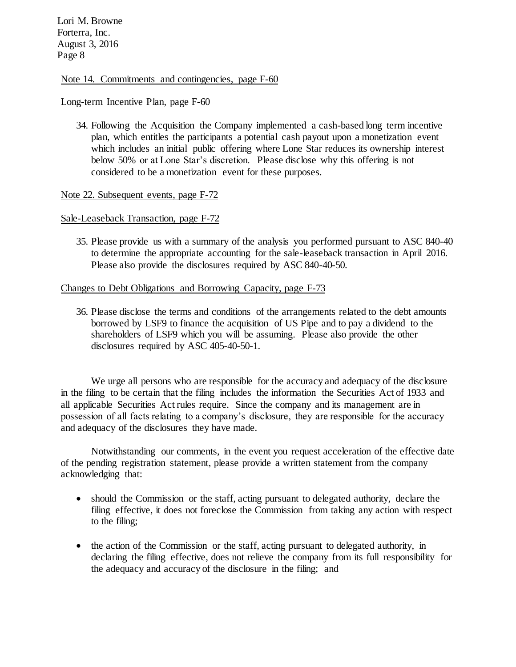### Note 14. Commitments and contingencies, page F-60

#### Long-term Incentive Plan, page F-60

34. Following the Acquisition the Company implemented a cash-based long term incentive plan, which entitles the participants a potential cash payout upon a monetization event which includes an initial public offering where Lone Star reduces its ownership interest below 50% or at Lone Star's discretion. Please disclose why this offering is not considered to be a monetization event for these purposes.

#### Note 22. Subsequent events, page F-72

#### Sale-Leaseback Transaction, page F-72

35. Please provide us with a summary of the analysis you performed pursuant to ASC 840-40 to determine the appropriate accounting for the sale-leaseback transaction in April 2016. Please also provide the disclosures required by ASC 840-40-50.

### Changes to Debt Obligations and Borrowing Capacity, page F-73

36. Please disclose the terms and conditions of the arrangements related to the debt amounts borrowed by LSF9 to finance the acquisition of US Pipe and to pay a dividend to the shareholders of LSF9 which you will be assuming. Please also provide the other disclosures required by ASC 405-40-50-1.

We urge all persons who are responsible for the accuracy and adequacy of the disclosure in the filing to be certain that the filing includes the information the Securities Act of 1933 and all applicable Securities Act rules require. Since the company and its management are in possession of all facts relating to a company's disclosure, they are responsible for the accuracy and adequacy of the disclosures they have made.

Notwithstanding our comments, in the event you request acceleration of the effective date of the pending registration statement, please provide a written statement from the company acknowledging that:

- should the Commission or the staff, acting pursuant to delegated authority, declare the filing effective, it does not foreclose the Commission from taking any action with respect to the filing;
- the action of the Commission or the staff, acting pursuant to delegated authority, in declaring the filing effective, does not relieve the company from its full responsibility for the adequacy and accuracy of the disclosure in the filing; and